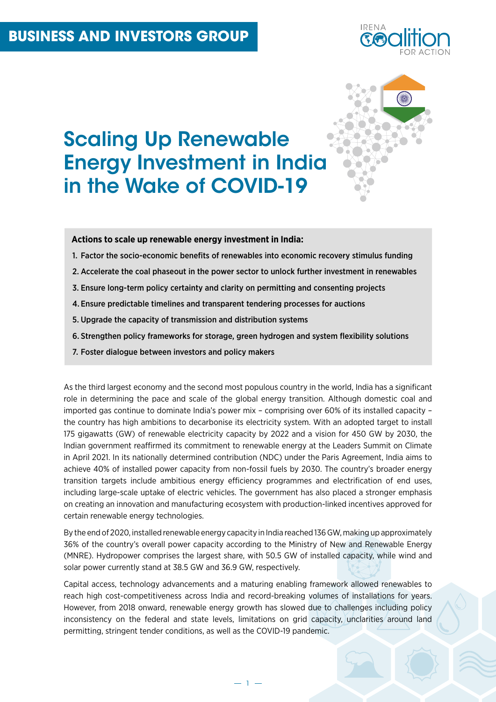

# Scaling Up Renewable Energy Investment in India in the Wake of COVID-19

**Actions to scale up renewable energy investment in India:**

- 1. Factor the socio-economic benefits of renewables into economic recovery stimulus funding
- 2. Accelerate the coal phaseout in the power sector to unlock further investment in renewables
- 3. Ensure long-term policy certainty and clarity on permitting and consenting projects
- 4. Ensure predictable timelines and transparent tendering processes for auctions
- 5. Upgrade the capacity of transmission and distribution systems
- 6. Strengthen policy frameworks for storage, green hydrogen and system flexibility solutions
- 7. Foster dialogue between investors and policy makers

As the third largest economy and the second most populous country in the world, India has a significant role in determining the pace and scale of the global energy transition. Although domestic coal and imported gas continue to dominate India's power mix – comprising over 60% of its installed capacity – the country has high ambitions to decarbonise its electricity system. With an adopted target to install 175 gigawatts (GW) of renewable electricity capacity by 2022 and a vision for 450 GW by 2030, the Indian government reaffirmed its commitment to renewable energy at the Leaders Summit on Climate in April 2021. In its nationally determined contribution (NDC) under the Paris Agreement, India aims to achieve 40% of installed power capacity from non-fossil fuels by 2030. The country's broader energy transition targets include ambitious energy efficiency programmes and electrification of end uses, including large-scale uptake of electric vehicles. The government has also placed a stronger emphasis on creating an innovation and manufacturing ecosystem with production-linked incentives approved for certain renewable energy technologies.

By the end of 2020, installed renewable energy capacity in India reached 136 GW, making up approximately 36% of the country's overall power capacity according to the Ministry of New and Renewable Energy (MNRE). Hydropower comprises the largest share, with 50.5 GW of installed capacity, while wind and solar power currently stand at 38.5 GW and 36.9 GW, respectively.

Capital access, technology advancements and a maturing enabling framework allowed renewables to reach high cost-competitiveness across India and record-breaking volumes of installations for years. However, from 2018 onward, renewable energy growth has slowed due to challenges including policy inconsistency on the federal and state levels, limitations on grid capacity, unclarities around land permitting, stringent tender conditions, as well as the COVID-19 pandemic.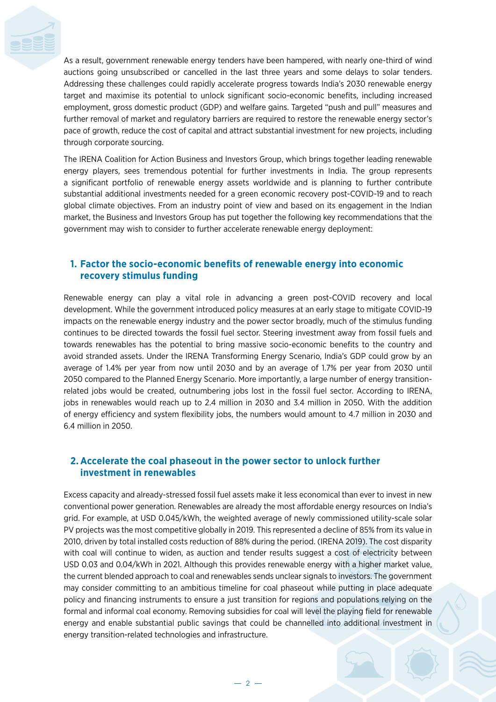

As a result, government renewable energy tenders have been hampered, with nearly one-third of wind auctions going unsubscribed or cancelled in the last three years and some delays to solar tenders. Addressing these challenges could rapidly accelerate progress towards India's 2030 renewable energy target and maximise its potential to unlock significant socio-economic benefits, including increased employment, gross domestic product (GDP) and welfare gains. Targeted "push and pull" measures and further removal of market and regulatory barriers are required to restore the renewable energy sector's pace of growth, reduce the cost of capital and attract substantial investment for new projects, including through corporate sourcing.

The IRENA Coalition for Action Business and Investors Group, which brings together leading renewable energy players, sees tremendous potential for further investments in India. The group represents a significant portfolio of renewable energy assets worldwide and is planning to further contribute substantial additional investments needed for a green economic recovery post-COVID-19 and to reach global climate objectives. From an industry point of view and based on its engagement in the Indian market, the Business and Investors Group has put together the following key recommendations that the government may wish to consider to further accelerate renewable energy deployment:

## **1. Factor the socio-economic benefits of renewable energy into economic recovery stimulus funding**

Renewable energy can play a vital role in advancing a green post-COVID recovery and local development. While the government introduced policy measures at an early stage to mitigate COVID-19 impacts on the renewable energy industry and the power sector broadly, much of the stimulus funding continues to be directed towards the fossil fuel sector. Steering investment away from fossil fuels and towards renewables has the potential to bring massive socio-economic benefits to the country and avoid stranded assets. Under the IRENA Transforming Energy Scenario, India's GDP could grow by an average of 1.4% per year from now until 2030 and by an average of 1.7% per year from 2030 until 2050 compared to the Planned Energy Scenario. More importantly, a large number of energy transitionrelated jobs would be created, outnumbering jobs lost in the fossil fuel sector. According to IRENA, jobs in renewables would reach up to 2.4 million in 2030 and 3.4 million in 2050. With the addition of energy efficiency and system flexibility jobs, the numbers would amount to 4.7 million in 2030 and 6.4 million in 2050.

### **2. Accelerate the coal phaseout in the power sector to unlock further investment in renewables**

Excess capacity and already-stressed fossil fuel assets make it less economical than ever to invest in new conventional power generation. Renewables are already the most affordable energy resources on India's grid. For example, at USD 0.045/kWh, the weighted average of newly commissioned utility-scale solar PV projects was the most competitive globally in 2019. This represented a decline of 85% from its value in 2010, driven by total installed costs reduction of 88% during the period. (IRENA 2019). The cost disparity with coal will continue to widen, as auction and tender results suggest a cost of electricity between USD 0.03 and 0.04/kWh in 2021. Although this provides renewable energy with a higher market value, the current blended approach to coal and renewables sends unclear signals to investors. The government may consider committing to an ambitious timeline for coal phaseout while putting in place adequate policy and financing instruments to ensure a just transition for regions and populations relying on the formal and informal coal economy. Removing subsidies for coal will level the playing field for renewable energy and enable substantial public savings that could be channelled into additional investment in energy transition-related technologies and infrastructure.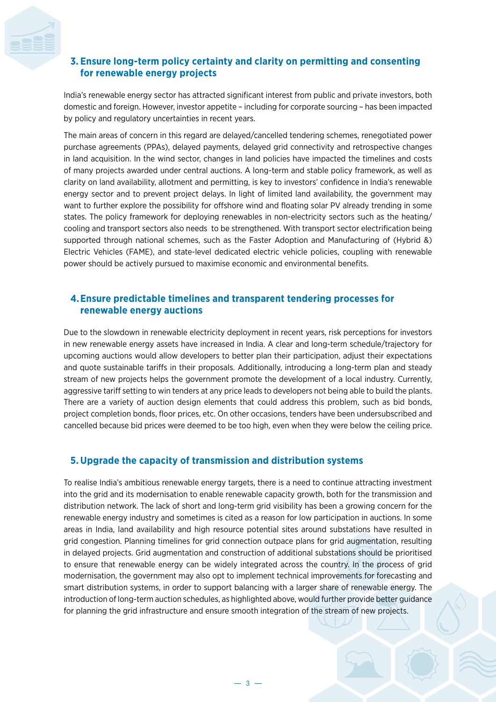

# **3. Ensure long-term policy certainty and clarity on permitting and consenting for renewable energy projects**

India's renewable energy sector has attracted significant interest from public and private investors, both domestic and foreign. However, investor appetite – including for corporate sourcing – has been impacted by policy and regulatory uncertainties in recent years.

The main areas of concern in this regard are delayed/cancelled tendering schemes, renegotiated power purchase agreements (PPAs), delayed payments, delayed grid connectivity and retrospective changes in land acquisition. In the wind sector, changes in land policies have impacted the timelines and costs of many projects awarded under central auctions. A long-term and stable policy framework, as well as clarity on land availability, allotment and permitting, is key to investors' confidence in India's renewable energy sector and to prevent project delays. In light of limited land availability, the government may want to further explore the possibility for offshore wind and floating solar PV already trending in some states. The policy framework for deploying renewables in non-electricity sectors such as the heating/ cooling and transport sectors also needs to be strengthened. With transport sector electrification being supported through national schemes, such as the Faster Adoption and Manufacturing of (Hybrid &) Electric Vehicles (FAME), and state-level dedicated electric vehicle policies, coupling with renewable power should be actively pursued to maximise economic and environmental benefits.

# **4.Ensure predictable timelines and transparent tendering processes for renewable energy auctions**

Due to the slowdown in renewable electricity deployment in recent years, risk perceptions for investors in new renewable energy assets have increased in India. A clear and long-term schedule/trajectory for upcoming auctions would allow developers to better plan their participation, adjust their expectations and quote sustainable tariffs in their proposals. Additionally, introducing a long-term plan and steady stream of new projects helps the government promote the development of a local industry. Currently, aggressive tariff setting to win tenders at any price leads to developers not being able to build the plants. There are a variety of auction design elements that could address this problem, such as bid bonds, project completion bonds, floor prices, etc. On other occasions, tenders have been undersubscribed and cancelled because bid prices were deemed to be too high, even when they were below the ceiling price.

## **5. Upgrade the capacity of transmission and distribution systems**

To realise India's ambitious renewable energy targets, there is a need to continue attracting investment into the grid and its modernisation to enable renewable capacity growth, both for the transmission and distribution network. The lack of short and long-term grid visibility has been a growing concern for the renewable energy industry and sometimes is cited as a reason for low participation in auctions. In some areas in India, land availability and high resource potential sites around substations have resulted in grid congestion. Planning timelines for grid connection outpace plans for grid augmentation, resulting in delayed projects. Grid augmentation and construction of additional substations should be prioritised to ensure that renewable energy can be widely integrated across the country. In the process of grid modernisation, the government may also opt to implement technical improvements for forecasting and smart distribution systems, in order to support balancing with a larger share of renewable energy. The introduction of long-term auction schedules, as highlighted above, would further provide better guidance for planning the grid infrastructure and ensure smooth integration of the stream of new projects.